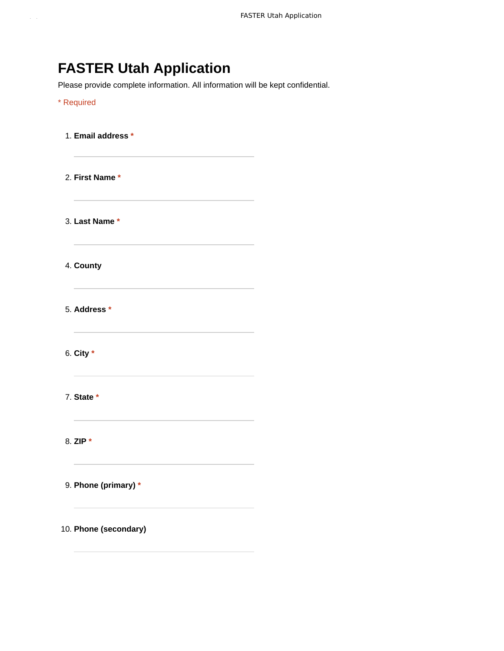# **FASTER Utah Application**

Please provide complete information. All information will be kept confidential.

## \* Required

1. **Email address \*** 2. **First Name \*** 3. **Last Name \*** 4. **County** 5. **Address \*** 6. **City \*** 7. **State \*** 8. **ZIP \*** 9. **Phone (primary) \*** 10. **Phone (secondary)**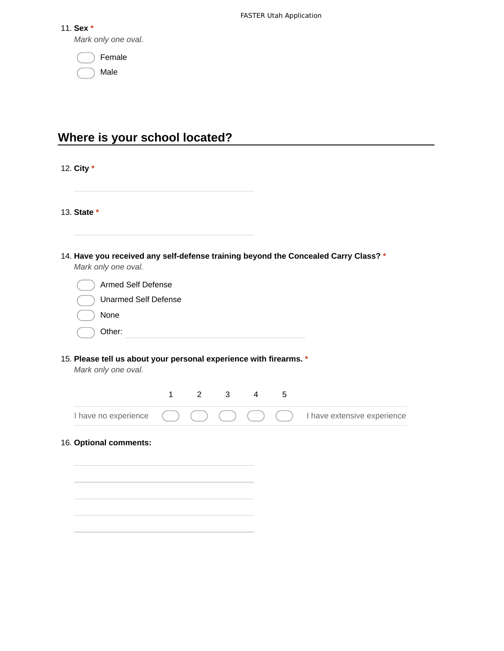|  | w<br>⊷ |  |
|--|--------|--|
|--|--------|--|

*Mark only one oval.*

| Female |
|--------|
| Male   |

# **Where is your school located?**

12. **City \***

13. **State \***

| 14. Have you received any self-defense training beyond the Concealed Carry Class? * |
|-------------------------------------------------------------------------------------|
| Mark only one oval.                                                                 |

| Armed Self Defense          |  |
|-----------------------------|--|
| <b>Unarmed Self Defense</b> |  |
| None                        |  |
| Other:                      |  |

## 15. **Please tell us about your personal experience with firearms. \***

*Mark only one oval.*

|  |  |  | I have no experience $\qquad \qquad \qquad$ $\qquad \qquad$ $\qquad \qquad$ $\qquad$ $\qquad$ $\qquad$ $\qquad$ $\qquad$ I have extensive experience |
|--|--|--|------------------------------------------------------------------------------------------------------------------------------------------------------|

## 16. **Optional comments:**